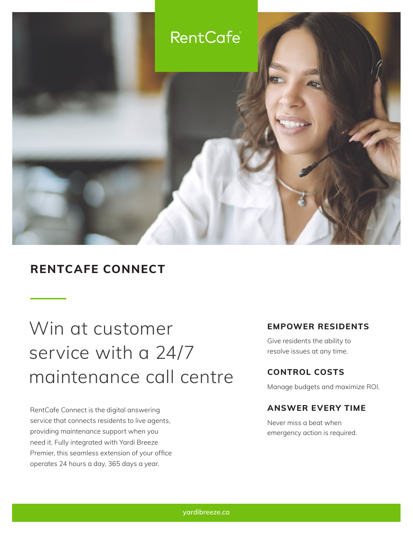

### **RENTCAFE CONNECT**

# Win at customer service with a 24/7 maintenance call centre

RentCafe Connect is the digital answering service that connects residents to live agents, providing maintenance support when you need it. Fully integrated with Yardi Breeze Premier, this seamless extension of your office operates 24 hours a day, 365 days a year.

### **EMPOWER RESIDENTS**

Give residents the ability to resolve issues at any time.

### **CONTROL COSTS**

Manage budgets and maximize ROI.

### **ANSWER EVERY TIME**

Never miss a beat when emergency action is required.